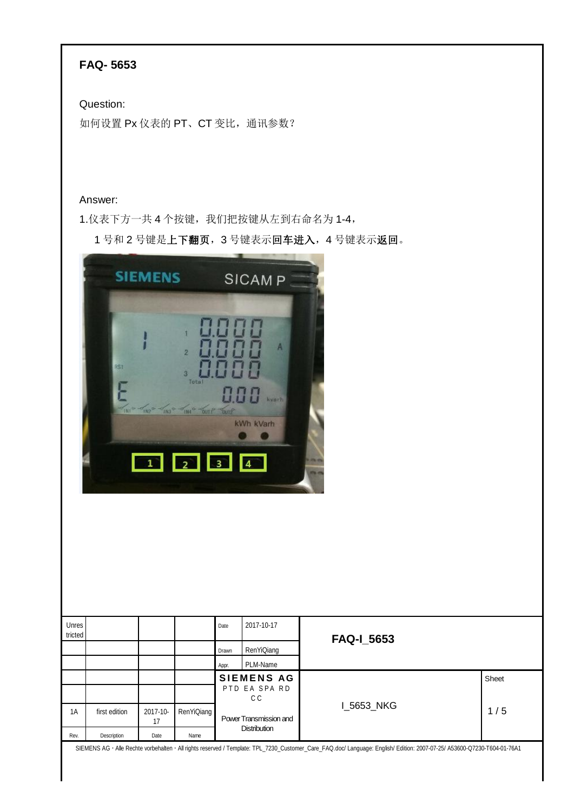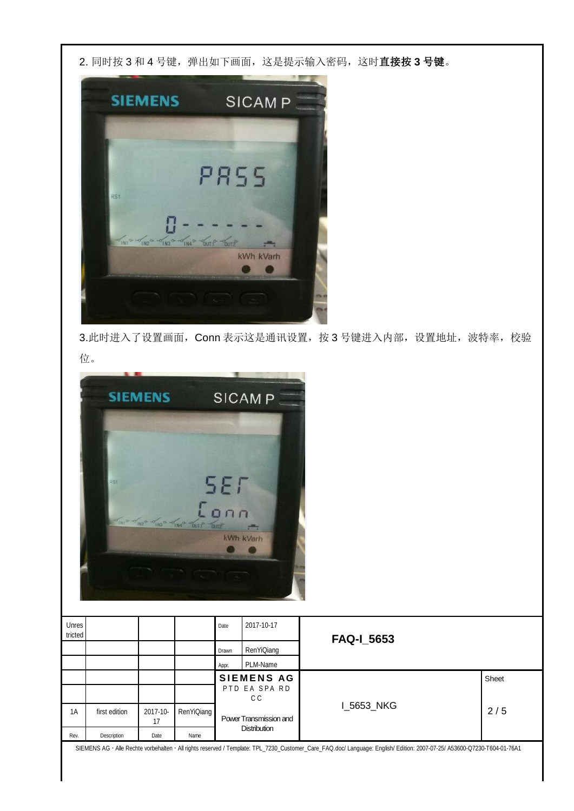2. 同时按 3 和 4 号键,弹出如下画面,这是提示输入密码,这时**直接按 3 号键**。



3.此时进入了设置画面, Conn 表示这是通讯设置, 按 3 号键进入内部, 设置地址, 波特率, 校验 位。



| Unres<br>tricted |               |                |            | Date                   | 2017-10-17           | <b>FAQ-1_5653</b> |       |  |
|------------------|---------------|----------------|------------|------------------------|----------------------|-------------------|-------|--|
|                  |               |                |            | Drawn                  | RenYiQiang           |                   |       |  |
|                  |               |                |            | Appr.                  | PLM-Name             |                   |       |  |
|                  |               |                |            |                        | <b>SIEMENS AG</b>    |                   | Sheet |  |
|                  |               |                |            |                        | PTD EA SPA RD<br>C C |                   |       |  |
| 1A               | first edition | 2017-10-<br>17 | RenYiQiang | Power Transmission and |                      | I_5653_NKG        | 2/5   |  |
| Rev.             | Description   | Date           | Name       | <b>Distribution</b>    |                      |                   |       |  |

SIEMENS AG Alle Rechte vorbehalten All rights reserved / Template: TPL\_7230\_Customer\_Care\_FAQ.doc/ Language: English/ Edition: 2007-07-25/ A53600-Q7230-T604-01-76A1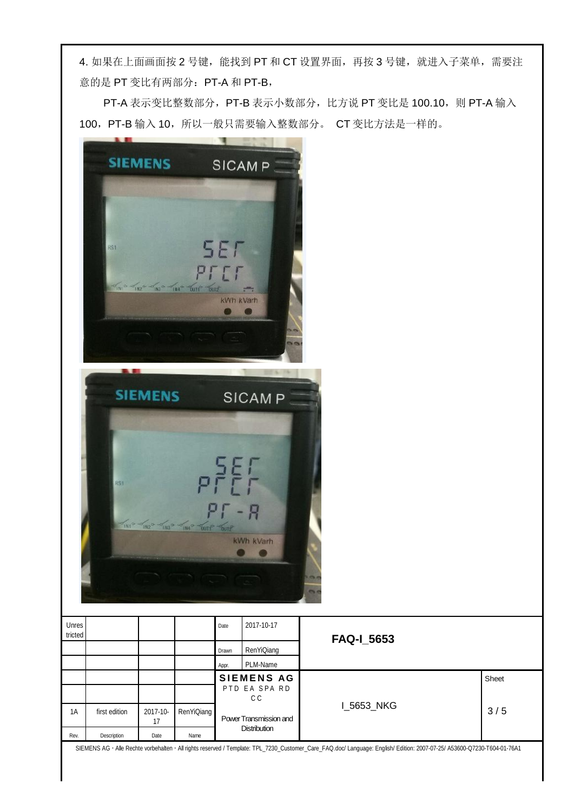4. 如果在上面画面按 2 号键, 能找到 PT 和 CT 设置界面, 再按 3 号键, 就进入子菜单, 需要注 意的是 PT 变比有两部分: PT-A 和 PT-B,

PT-A 表示变比整数部分, PT-B 表示小数部分, 比方说 PT 变比是 100.10, 则 PT-A 输入 100, PT-B 输入 10, 所以一般只需要输入整数部分。 CT 变比方法是一样的。

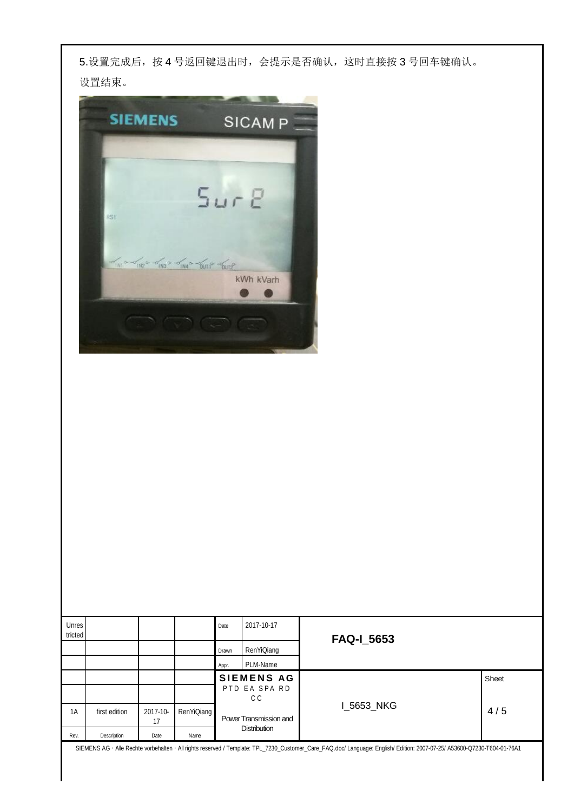5.设置完成后,按 4 号返回键退出时,会提示是否确认,这时直接按 3 号回车键确认。 设置结束。



| Unres<br>tricted |               |                |            | Date                | 2017-10-17             | <b>FAQ-I_5653</b> |       |  |
|------------------|---------------|----------------|------------|---------------------|------------------------|-------------------|-------|--|
|                  |               |                |            | Drawn               | RenYiQiang             |                   |       |  |
|                  |               |                |            | Appr.               | PLM-Name               |                   |       |  |
|                  |               |                |            | <b>SIEMENS AG</b>   |                        |                   | Sheet |  |
|                  |               |                |            |                     | PTD EA SPA RD<br>C C   |                   |       |  |
| 1A               | first edition | 2017-10-<br>17 | RenYiQiang |                     | Power Transmission and | I_5653_NKG        | 4/5   |  |
| Rev.             | Description   | Date           | Name       | <b>Distribution</b> |                        |                   |       |  |

SIEMENS AG Alle Rechte vorbehalten All rights reserved / Template: TPL\_7230\_Customer\_Care\_FAQ.doc/ Language: English/ Edition: 2007-07-25/ A53600-Q7230-T604-01-76A1